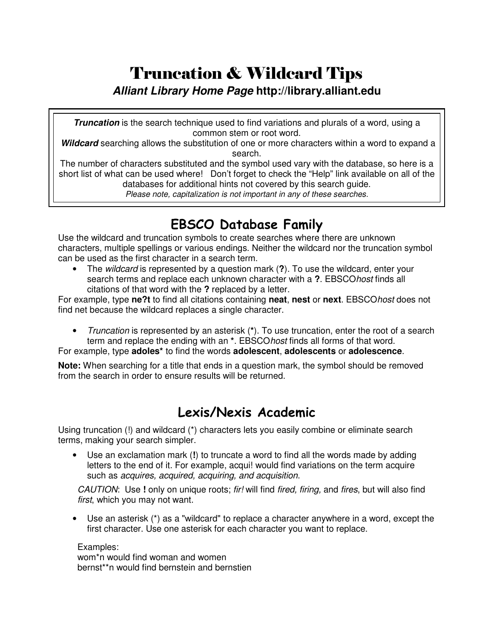# Truncation & Wildcard Tips |

#### *Alliant Library Home Page* **http://library.alliant.edu**

*Truncation* is the search technique used to find variations and plurals of a word, using a common stem or root word.

*Wildcard* searching allows the substitution of one or more characters within a word to expand a search.

The number of characters substituted and the symbol used vary with the database, so here is a short list of what can be used where! Don't forget to check the "Help" link available on all of the databases for additional hints not covered by this search guide.

*Please note, capitalization is not important in any of these searches.*

## EBSCO Database Family

Use the wildcard and truncation symbols to create searches where there are unknown characters, multiple spellings or various endings. Neither the wildcard nor the truncation symbol can be used as the first character in a search term.

• The *wildcard* is represented by a question mark (**?**). To use the wildcard, enter your search terms and replace each unknown character with a **?**. EBSCO*host* finds all citations of that word with the **?** replaced by a letter.

For example, type **ne?t** to find all citations containing **neat**, **nest** or **next**. EBSCO*host* does not find net because the wildcard replaces a single character.

• *Truncation* is represented by an asterisk (**\***). To use truncation, enter the root of a search term and replace the ending with an **\***. EBSCO*host* finds all forms of that word.

For example, type **adoles\*** to find the words **adolescent**, **adolescents** or **adolescence**.

**Note:** When searching for a title that ends in a question mark, the symbol should be removed from the search in order to ensure results will be returned.

### Lexis/Nexis Academic

Using truncation (!) and wildcard (\*) characters lets you easily combine or eliminate search terms, making your search simpler.

• Use an exclamation mark (**!**) to truncate a word to find all the words made by adding letters to the end of it. For example, acqui! would find variations on the term acquire such as *acquires, acquired, acquiring, and acquisition*.

*CAUTION*: Use **!** only on unique roots; *fir!* will find *fired, firing,* and *fires*, but will also find *first*, which you may not want.

• Use an asterisk (\*) as a "wildcard" to replace a character anywhere in a word, except the first character. Use one asterisk for each character you want to replace.

Examples: wom\*n would find woman and women bernst\*\*n would find bernstein and bernstien